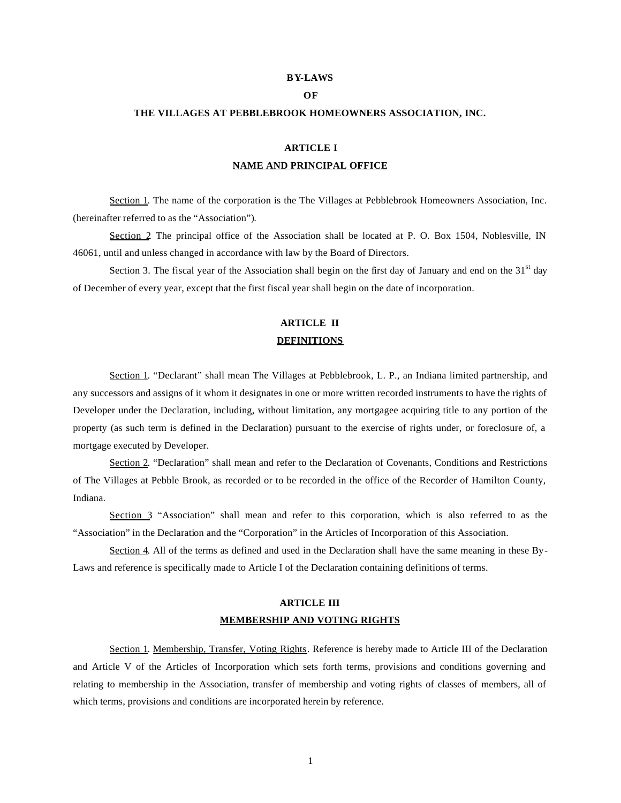#### **BY-LAWS**

### **OF**

#### **THE VILLAGES AT PEBBLEBROOK HOMEOWNERS ASSOCIATION, INC.**

## **ARTICLE I NAME AND PRINCIPAL OFFICE**

Section 1. The name of the corporation is the The Villages at Pebblebrook Homeowners Association, Inc. (hereinafter referred to as the "Association").

Section 2. The principal office of the Association shall be located at P. O. Box 1504, Noblesville, IN 46061, until and unless changed in accordance with law by the Board of Directors.

Section 3. The fiscal year of the Association shall begin on the first day of January and end on the  $31<sup>st</sup>$  day of December of every year, except that the first fiscal year shall begin on the date of incorporation.

## **ARTICLE II DEFINITIONS**

Section 1. "Declarant" shall mean The Villages at Pebblebrook, L. P., an Indiana limited partnership, and any successors and assigns of it whom it designates in one or more written recorded instruments to have the rights of Developer under the Declaration, including, without limitation, any mortgagee acquiring title to any portion of the property (as such term is defined in the Declaration) pursuant to the exercise of rights under, or foreclosure of, a mortgage executed by Developer.

Section 2. "Declaration" shall mean and refer to the Declaration of Covenants, Conditions and Restrictions of The Villages at Pebble Brook, as recorded or to be recorded in the office of the Recorder of Hamilton County, Indiana.

Section 3 "Association" shall mean and refer to this corporation, which is also referred to as the "Association" in the Declaration and the "Corporation" in the Articles of Incorporation of this Association.

Section 4. All of the terms as defined and used in the Declaration shall have the same meaning in these By-Laws and reference is specifically made to Article I of the Declaration containing definitions of terms.

### **ARTICLE III MEMBERSHIP AND VOTING RIGHTS**

Section 1. Membership, Transfer, Voting Rights. Reference is hereby made to Article III of the Declaration and Article V of the Articles of Incorporation which sets forth terms, provisions and conditions governing and relating to membership in the Association, transfer of membership and voting rights of classes of members, all of which terms, provisions and conditions are incorporated herein by reference.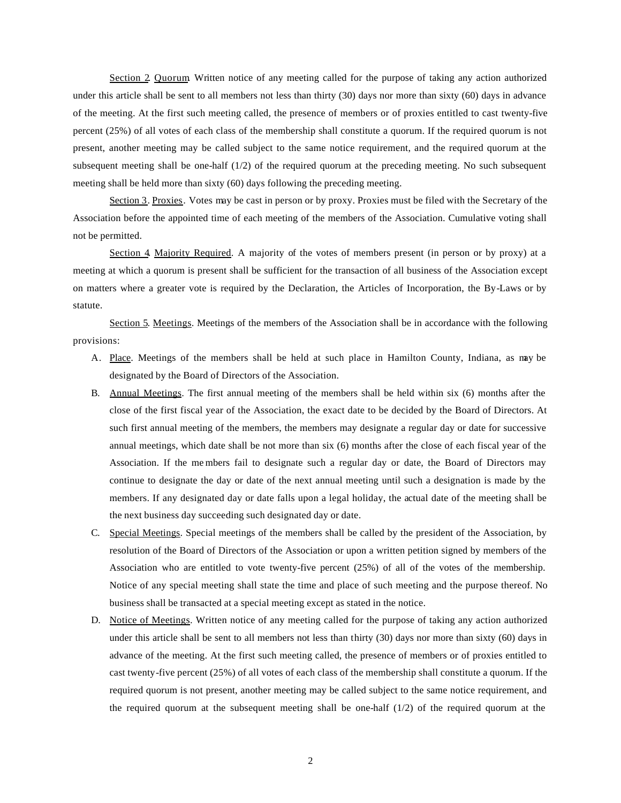Section 2. Quorum. Written notice of any meeting called for the purpose of taking any action authorized under this article shall be sent to all members not less than thirty (30) days nor more than sixty (60) days in advance of the meeting. At the first such meeting called, the presence of members or of proxies entitled to cast twenty-five percent (25%) of all votes of each class of the membership shall constitute a quorum. If the required quorum is not present, another meeting may be called subject to the same notice requirement, and the required quorum at the subsequent meeting shall be one-half (1/2) of the required quorum at the preceding meeting. No such subsequent meeting shall be held more than sixty (60) days following the preceding meeting.

Section 3. Proxies. Votes may be cast in person or by proxy. Proxies must be filed with the Secretary of the Association before the appointed time of each meeting of the members of the Association. Cumulative voting shall not be permitted.

Section 4. Majority Required. A majority of the votes of members present (in person or by proxy) at a meeting at which a quorum is present shall be sufficient for the transaction of all business of the Association except on matters where a greater vote is required by the Declaration, the Articles of Incorporation, the By-Laws or by statute.

Section 5. Meetings. Meetings of the members of the Association shall be in accordance with the following provisions:

- A. Place. Meetings of the members shall be held at such place in Hamilton County, Indiana, as may be designated by the Board of Directors of the Association.
- B. Annual Meetings. The first annual meeting of the members shall be held within six (6) months after the close of the first fiscal year of the Association, the exact date to be decided by the Board of Directors. At such first annual meeting of the members, the members may designate a regular day or date for successive annual meetings, which date shall be not more than six (6) months after the close of each fiscal year of the Association. If the me mbers fail to designate such a regular day or date, the Board of Directors may continue to designate the day or date of the next annual meeting until such a designation is made by the members. If any designated day or date falls upon a legal holiday, the actual date of the meeting shall be the next business day succeeding such designated day or date.
- C. Special Meetings. Special meetings of the members shall be called by the president of the Association, by resolution of the Board of Directors of the Association or upon a written petition signed by members of the Association who are entitled to vote twenty-five percent (25%) of all of the votes of the membership. Notice of any special meeting shall state the time and place of such meeting and the purpose thereof. No business shall be transacted at a special meeting except as stated in the notice.
- D. Notice of Meetings. Written notice of any meeting called for the purpose of taking any action authorized under this article shall be sent to all members not less than thirty (30) days nor more than sixty (60) days in advance of the meeting. At the first such meeting called, the presence of members or of proxies entitled to cast twenty-five percent (25%) of all votes of each class of the membership shall constitute a quorum. If the required quorum is not present, another meeting may be called subject to the same notice requirement, and the required quorum at the subsequent meeting shall be one-half (1/2) of the required quorum at the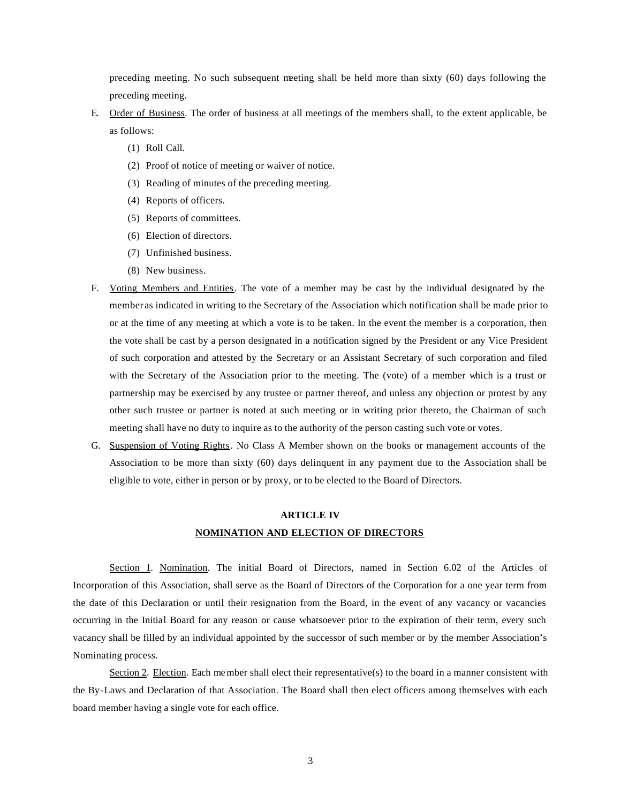preceding meeting. No such subsequent meeting shall be held more than sixty (60) days following the preceding meeting.

- E. Order of Business. The order of business at all meetings of the members shall, to the extent applicable, be as follows:
	- (1) Roll Call.
	- (2) Proof of notice of meeting or waiver of notice.
	- (3) Reading of minutes of the preceding meeting.
	- (4) Reports of officers.
	- (5) Reports of committees.
	- (6) Election of directors.
	- (7) Unfinished business.
	- (8) New business.
- F. Voting Members and Entities. The vote of a member may be cast by the individual designated by the member as indicated in writing to the Secretary of the Association which notification shall be made prior to or at the time of any meeting at which a vote is to be taken. In the event the member is a corporation, then the vote shall be cast by a person designated in a notification signed by the President or any Vice President of such corporation and attested by the Secretary or an Assistant Secretary of such corporation and filed with the Secretary of the Association prior to the meeting. The (vote) of a member which is a trust or partnership may be exercised by any trustee or partner thereof, and unless any objection or protest by any other such trustee or partner is noted at such meeting or in writing prior thereto, the Chairman of such meeting shall have no duty to inquire as to the authority of the person casting such vote or votes.
- G. Suspension of Voting Rights. No Class A Member shown on the books or management accounts of the Association to be more than sixty (60) days delinquent in any payment due to the Association shall be eligible to vote, either in person or by proxy, or to be elected to the Board of Directors.

# **ARTICLE IV NOMINATION AND ELECTION OF DIRECTORS**

Section 1. Nomination. The initial Board of Directors, named in Section 6.02 of the Articles of Incorporation of this Association, shall serve as the Board of Directors of the Corporation for a one year term from the date of this Declaration or until their resignation from the Board, in the event of any vacancy or vacancies occurring in the Initial Board for any reason or cause whatsoever prior to the expiration of their term, every such vacancy shall be filled by an individual appointed by the successor of such member or by the member Association's Nominating process.

Section 2. Election. Each member shall elect their representative(s) to the board in a manner consistent with the By-Laws and Declaration of that Association. The Board shall then elect officers among themselves with each board member having a single vote for each office.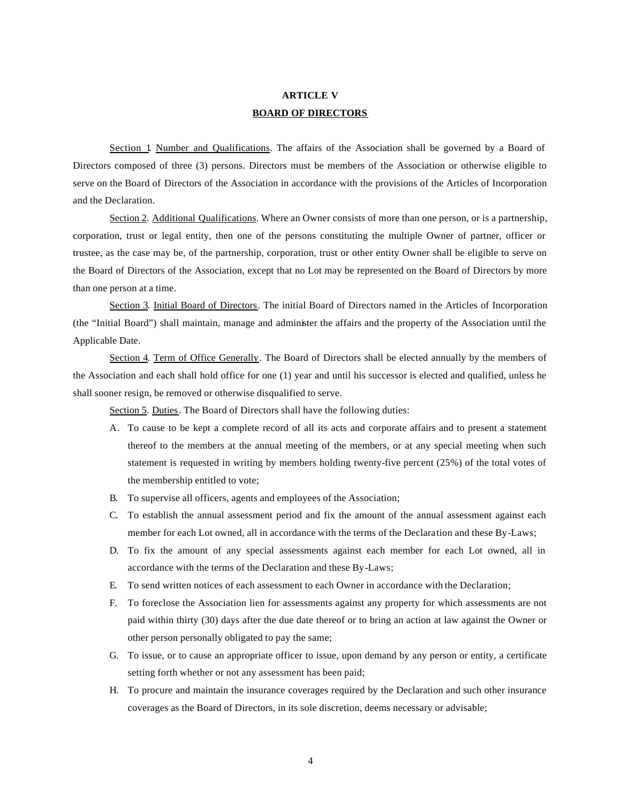# **ARTICLE V BOARD OF DIRECTORS**

Section 1. Number and Qualifications. The affairs of the Association shall be governed by a Board of Directors composed of three (3) persons. Directors must be members of the Association or otherwise eligible to serve on the Board of Directors of the Association in accordance with the provisions of the Articles of Incorporation and the Declaration.

Section 2. Additional Qualifications. Where an Owner consists of more than one person, or is a partnership, corporation, trust or legal entity, then one of the persons constituting the multiple Owner of partner, officer or trustee, as the case may be, of the partnership, corporation, trust or other entity Owner shall be eligible to serve on the Board of Directors of the Association, except that no Lot may be represented on the Board of Directors by more than one person at a time.

Section 3. Initial Board of Directors. The initial Board of Directors named in the Articles of Incorporation (the "Initial Board") shall maintain, manage and administer the affairs and the property of the Association until the Applicable Date.

Section 4. Term of Office Generally. The Board of Directors shall be elected annually by the members of the Association and each shall hold office for one (1) year and until his successor is elected and qualified, unless he shall sooner resign, be removed or otherwise disqualified to serve.

Section 5. Duties. The Board of Directors shall have the following duties:

- A. To cause to be kept a complete record of all its acts and corporate affairs and to present a statement thereof to the members at the annual meeting of the members, or at any special meeting when such statement is requested in writing by members holding twenty-five percent (25%) of the total votes of the membership entitled to vote;
- B. To supervise all officers, agents and employees of the Association;
- C. To establish the annual assessment period and fix the amount of the annual assessment against each member for each Lot owned, all in accordance with the terms of the Declaration and these By-Laws;
- D. To fix the amount of any special assessments against each member for each Lot owned, all in accordance with the terms of the Declaration and these By-Laws;
- E. To send written notices of each assessment to each Owner in accordance with the Declaration;
- F. To foreclose the Association lien for assessments against any property for which assessments are not paid within thirty (30) days after the due date thereof or to bring an action at law against the Owner or other person personally obligated to pay the same;
- G. To issue, or to cause an appropriate officer to issue, upon demand by any person or entity, a certificate setting forth whether or not any assessment has been paid;
- H. To procure and maintain the insurance coverages required by the Declaration and such other insurance coverages as the Board of Directors, in its sole discretion, deems necessary or advisable;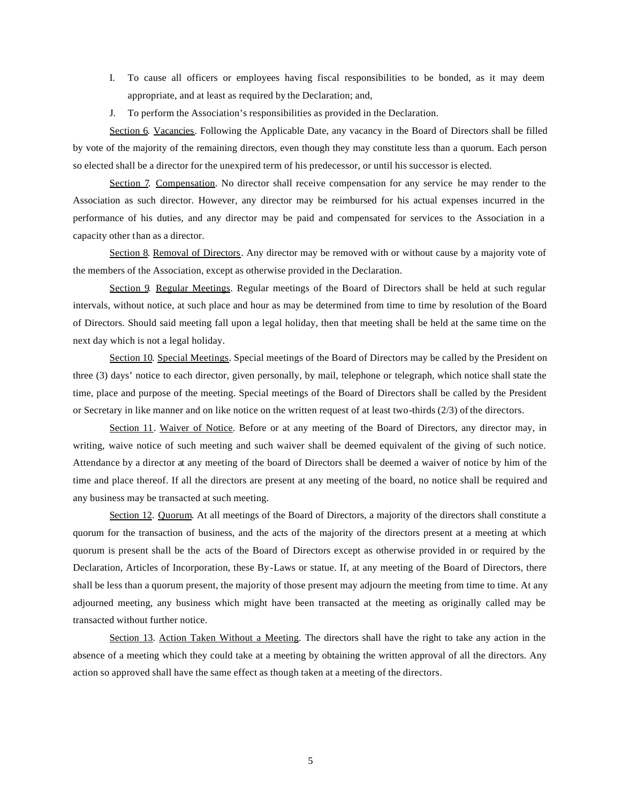- I. To cause all officers or employees having fiscal responsibilities to be bonded, as it may deem appropriate, and at least as required by the Declaration; and,
- J. To perform the Association's responsibilities as provided in the Declaration.

Section 6. Vacancies. Following the Applicable Date, any vacancy in the Board of Directors shall be filled by vote of the majority of the remaining directors, even though they may constitute less than a quorum. Each person so elected shall be a director for the unexpired term of his predecessor, or until his successor is elected.

Section 7. Compensation. No director shall receive compensation for any service he may render to the Association as such director. However, any director may be reimbursed for his actual expenses incurred in the performance of his duties, and any director may be paid and compensated for services to the Association in a capacity other than as a director.

Section 8. Removal of Directors. Any director may be removed with or without cause by a majority vote of the members of the Association, except as otherwise provided in the Declaration.

Section 9. Regular Meetings. Regular meetings of the Board of Directors shall be held at such regular intervals, without notice, at such place and hour as may be determined from time to time by resolution of the Board of Directors. Should said meeting fall upon a legal holiday, then that meeting shall be held at the same time on the next day which is not a legal holiday.

Section 10. Special Meetings. Special meetings of the Board of Directors may be called by the President on three (3) days' notice to each director, given personally, by mail, telephone or telegraph, which notice shall state the time, place and purpose of the meeting. Special meetings of the Board of Directors shall be called by the President or Secretary in like manner and on like notice on the written request of at least two-thirds (2/3) of the directors.

Section 11. Waiver of Notice. Before or at any meeting of the Board of Directors, any director may, in writing, waive notice of such meeting and such waiver shall be deemed equivalent of the giving of such notice. Attendance by a director at any meeting of the board of Directors shall be deemed a waiver of notice by him of the time and place thereof. If all the directors are present at any meeting of the board, no notice shall be required and any business may be transacted at such meeting.

Section 12. Quorum. At all meetings of the Board of Directors, a majority of the directors shall constitute a quorum for the transaction of business, and the acts of the majority of the directors present at a meeting at which quorum is present shall be the acts of the Board of Directors except as otherwise provided in or required by the Declaration, Articles of Incorporation, these By-Laws or statue. If, at any meeting of the Board of Directors, there shall be less than a quorum present, the majority of those present may adjourn the meeting from time to time. At any adjourned meeting, any business which might have been transacted at the meeting as originally called may be transacted without further notice.

Section 13. Action Taken Without a Meeting. The directors shall have the right to take any action in the absence of a meeting which they could take at a meeting by obtaining the written approval of all the directors. Any action so approved shall have the same effect as though taken at a meeting of the directors.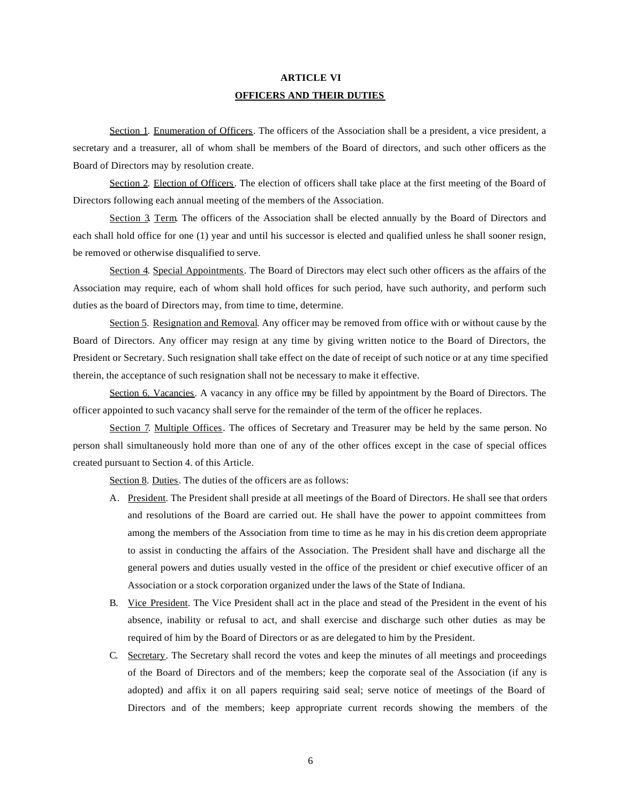# **ARTICLE VI OFFICERS AND THEIR DUTIES**

Section 1. Enumeration of Officers. The officers of the Association shall be a president, a vice president, a secretary and a treasurer, all of whom shall be members of the Board of directors, and such other officers as the Board of Directors may by resolution create.

Section 2. Election of Officers. The election of officers shall take place at the first meeting of the Board of Directors following each annual meeting of the members of the Association.

Section 3. Term. The officers of the Association shall be elected annually by the Board of Directors and each shall hold office for one (1) year and until his successor is elected and qualified unless he shall sooner resign, be removed or otherwise disqualified to serve.

Section 4. Special Appointments. The Board of Directors may elect such other officers as the affairs of the Association may require, each of whom shall hold offices for such period, have such authority, and perform such duties as the board of Directors may, from time to time, determine.

Section 5. Resignation and Removal. Any officer may be removed from office with or without cause by the Board of Directors. Any officer may resign at any time by giving written notice to the Board of Directors, the President or Secretary. Such resignation shall take effect on the date of receipt of such notice or at any time specified therein, the acceptance of such resignation shall not be necessary to make it effective.

Section 6. Vacancies. A vacancy in any office may be filled by appointment by the Board of Directors. The officer appointed to such vacancy shall serve for the remainder of the term of the officer he replaces.

Section 7. Multiple Offices. The offices of Secretary and Treasurer may be held by the same person. No person shall simultaneously hold more than one of any of the other offices except in the case of special offices created pursuant to Section 4. of this Article.

Section 8. Duties. The duties of the officers are as follows:

- A. President. The President shall preside at all meetings of the Board of Directors. He shall see that orders and resolutions of the Board are carried out. He shall have the power to appoint committees from among the members of the Association from time to time as he may in his dis cretion deem appropriate to assist in conducting the affairs of the Association. The President shall have and discharge all the general powers and duties usually vested in the office of the president or chief executive officer of an Association or a stock corporation organized under the laws of the State of Indiana.
- B. Vice President. The Vice President shall act in the place and stead of the President in the event of his absence, inability or refusal to act, and shall exercise and discharge such other duties as may be required of him by the Board of Directors or as are delegated to him by the President.
- C. Secretary. The Secretary shall record the votes and keep the minutes of all meetings and proceedings of the Board of Directors and of the members; keep the corporate seal of the Association (if any is adopted) and affix it on all papers requiring said seal; serve notice of meetings of the Board of Directors and of the members; keep appropriate current records showing the members of the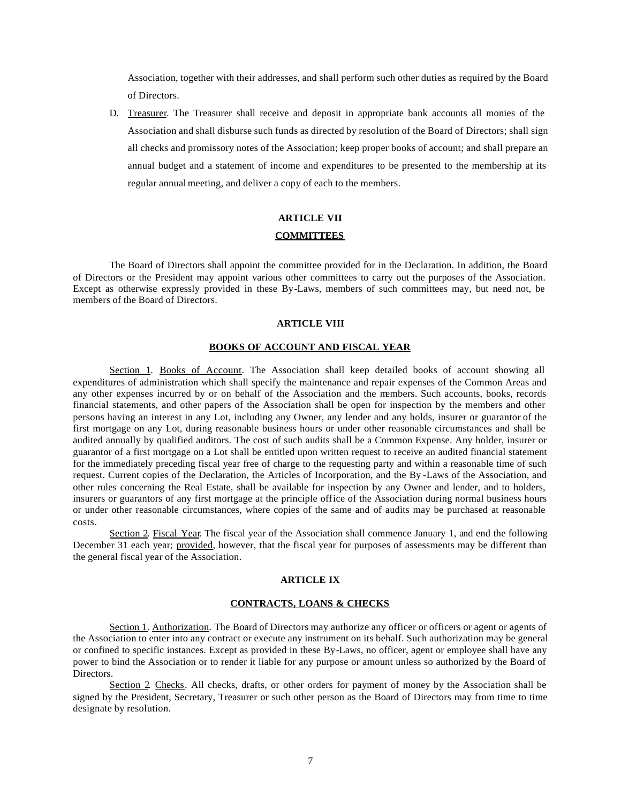Association, together with their addresses, and shall perform such other duties as required by the Board of Directors.

D. Treasurer. The Treasurer shall receive and deposit in appropriate bank accounts all monies of the Association and shall disburse such funds as directed by resolution of the Board of Directors; shall sign all checks and promissory notes of the Association; keep proper books of account; and shall prepare an annual budget and a statement of income and expenditures to be presented to the membership at its regular annual meeting, and deliver a copy of each to the members.

# **ARTICLE VII COMMITTEES**

The Board of Directors shall appoint the committee provided for in the Declaration. In addition, the Board of Directors or the President may appoint various other committees to carry out the purposes of the Association. Except as otherwise expressly provided in these By-Laws, members of such committees may, but need not, be members of the Board of Directors.

#### **ARTICLE VIII**

#### **BOOKS OF ACCOUNT AND FISCAL YEAR**

Section 1. Books of Account. The Association shall keep detailed books of account showing all expenditures of administration which shall specify the maintenance and repair expenses of the Common Areas and any other expenses incurred by or on behalf of the Association and the members. Such accounts, books, records financial statements, and other papers of the Association shall be open for inspection by the members and other persons having an interest in any Lot, including any Owner, any lender and any holds, insurer or guarantor of the first mortgage on any Lot, during reasonable business hours or under other reasonable circumstances and shall be audited annually by qualified auditors. The cost of such audits shall be a Common Expense. Any holder, insurer or guarantor of a first mortgage on a Lot shall be entitled upon written request to receive an audited financial statement for the immediately preceding fiscal year free of charge to the requesting party and within a reasonable time of such request. Current copies of the Declaration, the Articles of Incorporation, and the By -Laws of the Association, and other rules concerning the Real Estate, shall be available for inspection by any Owner and lender, and to holders, insurers or guarantors of any first mortgage at the principle office of the Association during normal business hours or under other reasonable circumstances, where copies of the same and of audits may be purchased at reasonable costs.

Section 2. Fiscal Year. The fiscal year of the Association shall commence January 1, and end the following December 31 each year; provided, however, that the fiscal year for purposes of assessments may be different than the general fiscal year of the Association.

### **ARTICLE IX**

#### **CONTRACTS, LOANS & CHECKS**

Section 1. Authorization. The Board of Directors may authorize any officer or officers or agent or agents of the Association to enter into any contract or execute any instrument on its behalf. Such authorization may be general or confined to specific instances. Except as provided in these By-Laws, no officer, agent or employee shall have any power to bind the Association or to render it liable for any purpose or amount unless so authorized by the Board of Directors.

Section 2. Checks. All checks, drafts, or other orders for payment of money by the Association shall be signed by the President, Secretary, Treasurer or such other person as the Board of Directors may from time to time designate by resolution.